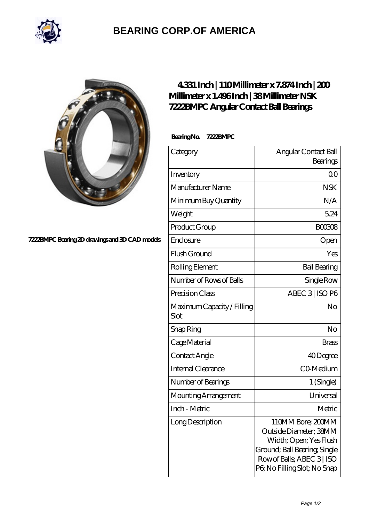

## **[BEARING CORP.OF AMERICA](https://m.bluemondayreview.com)**



## **[7222BMPC Bearing 2D drawings and 3D CAD models](https://m.bluemondayreview.com/pic-172813.html)**

## **[4.331 Inch | 110 Millimeter x 7.874 Inch | 200](https://m.bluemondayreview.com/bj-172813-nsk-7222bmpc-angular-contact-ball-bearings.html) [Millimeter x 1.496 Inch | 38 Millimeter NSK](https://m.bluemondayreview.com/bj-172813-nsk-7222bmpc-angular-contact-ball-bearings.html) [7222BMPC Angular Contact Ball Bearings](https://m.bluemondayreview.com/bj-172813-nsk-7222bmpc-angular-contact-ball-bearings.html)**

 **Bearing No. 7222BMPC**

| Category                           | Angular Contact Ball<br>Bearings                                                                                                                                   |
|------------------------------------|--------------------------------------------------------------------------------------------------------------------------------------------------------------------|
| Inventory                          | 0 <sup>0</sup>                                                                                                                                                     |
| Manufacturer Name                  | <b>NSK</b>                                                                                                                                                         |
| Minimum Buy Quantity               | N/A                                                                                                                                                                |
| Weight                             | 5.24                                                                                                                                                               |
| Product Group                      | <b>BOO3O8</b>                                                                                                                                                      |
| Enclosure                          | Open                                                                                                                                                               |
| Flush Ground                       | Yes                                                                                                                                                                |
| Rolling Element                    | <b>Ball Bearing</b>                                                                                                                                                |
| Number of Rows of Balls            | Single Row                                                                                                                                                         |
| Precision Class                    | ABEC 3   ISO P6                                                                                                                                                    |
| Maximum Capacity / Filling<br>Slot | No                                                                                                                                                                 |
| Snap Ring                          | No                                                                                                                                                                 |
| Cage Material                      | <b>Brass</b>                                                                                                                                                       |
| Contact Angle                      | 40Degree                                                                                                                                                           |
| Internal Clearance                 | CO-Medium                                                                                                                                                          |
| Number of Bearings                 | 1 (Single)                                                                                                                                                         |
| Mounting Arrangement               | Universal                                                                                                                                                          |
| Inch - Metric                      | Metric                                                                                                                                                             |
| LongDescription                    | 110MM Bore; 200MM<br>Outside Diameter; 38MM<br>Width; Open; Yes Flush<br>Ground; Ball Bearing, Single<br>Row of Balls, ABEC 3   ISO<br>PG No Filling Slot; No Snap |